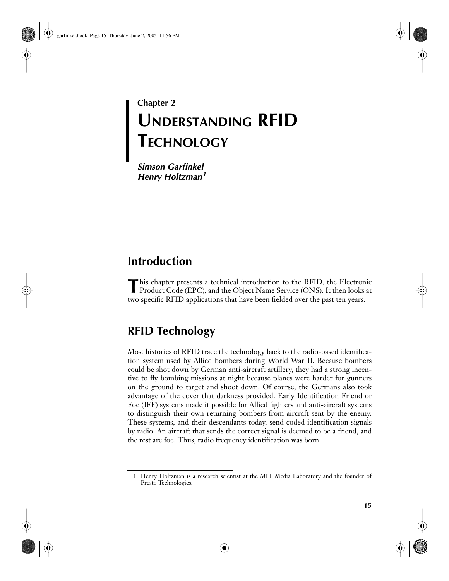# **Chapter 2 UNDERSTANDING RFID TECHNOLOGY**

*Simson Garfinkel Henry Holtzman<sup>1</sup>*

# **Introduction**

This chapter presents a technical introduction to the RFID, the Electronic<br>Product Code (EPC), and the Object Name Service (ONS). It then looks at Product Code (EPC), and the Object Name Service (ONS). It then looks at two specific RFID applications that have been fielded over the past ten years.

# **RFID Technology**

Most histories of RFID trace the technology back to the radio-based identification system used by Allied bombers during World War II. Because bombers could be shot down by German anti-aircraft artillery, they had a strong incentive to fly bombing missions at night because planes were harder for gunners on the ground to target and shoot down. Of course, the Germans also took advantage of the cover that darkness provided. Early Identification Friend or Foe (IFF) systems made it possible for Allied fighters and anti-aircraft systems to distinguish their own returning bombers from aircraft sent by the enemy. These systems, and their descendants today, send coded identification signals by radio: An aircraft that sends the correct signal is deemed to be a friend, and the rest are foe. Thus, radio frequency identification was born.

<sup>1.</sup> Henry Holtzman is a research scientist at the MIT Media Laboratory and the founder of Presto Technologies.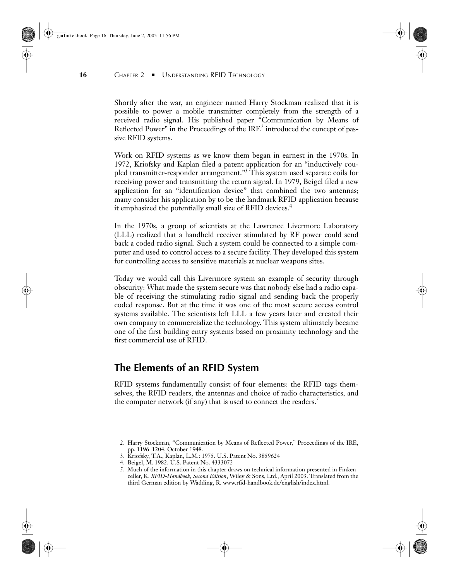Shortly after the war, an engineer named Harry Stockman realized that it is possible to power a mobile transmitter completely from the strength of a received radio signal. His published paper "Communication by Means of Reflected Power" in the Proceedings of the  $IRE<sup>2</sup>$  introduced the concept of passive RFID systems.

Work on RFID systems as we know them began in earnest in the 1970s. In 1972, Kriofsky and Kaplan filed a patent application for an "inductively coupled transmitter-responder arrangement."3 This system used separate coils for receiving power and transmitting the return signal. In 1979, Beigel filed a new application for an "identification device" that combined the two antennas; many consider his application by to be the landmark RFID application because it emphasized the potentially small size of RFID devices.<sup>4</sup>

In the 1970s, a group of scientists at the Lawrence Livermore Laboratory (LLL) realized that a handheld receiver stimulated by RF power could send back a coded radio signal. Such a system could be connected to a simple computer and used to control access to a secure facility. They developed this system for controlling access to sensitive materials at nuclear weapons sites.

Today we would call this Livermore system an example of security through obscurity: What made the system secure was that nobody else had a radio capable of receiving the stimulating radio signal and sending back the properly coded response. But at the time it was one of the most secure access control systems available. The scientists left LLL a few years later and created their own company to commercialize the technology. This system ultimately became one of the first building entry systems based on proximity technology and the first commercial use of RFID.

# **The Elements of an RFID System**

RFID systems fundamentally consist of four elements: the RFID tags themselves, the RFID readers, the antennas and choice of radio characteristics, and the computer network (if any) that is used to connect the readers.<sup>5</sup>

<sup>2.</sup> Harry Stockman, "Communication by Means of Reflected Power," Proceedings of the IRE, pp. 1196–1204, October 1948.

<sup>3.</sup> Kriofsky, T.A., Kaplan, L.M.: 1975. U.S. Patent No. 3859624

<sup>4.</sup> Beigel, M. 1982. U.S. Patent No. 4333072

<sup>5.</sup> Much of the information in this chapter draws on technical information presented in Finkenzeller, K. *RFID-Handbook, Second Edition*, Wiley & Sons, Ltd., April 2003. Translated from the third German edition by Wadding, R. www.rfid-handbook.de/english/index.html.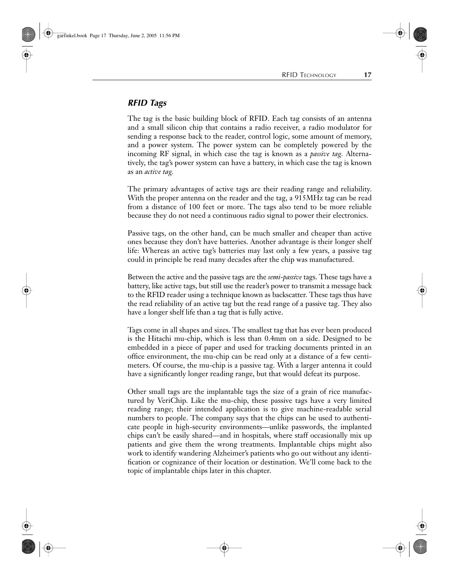## *RFID Tags*

The tag is the basic building block of RFID. Each tag consists of an antenna and a small silicon chip that contains a radio receiver, a radio modulator for sending a response back to the reader, control logic, some amount of memory, and a power system. The power system can be completely powered by the incoming RF signal, in which case the tag is known as a *passive tag.* Alternatively, the tag's power system can have a battery, in which case the tag is known as an *active tag.* 

The primary advantages of active tags are their reading range and reliability. With the proper antenna on the reader and the tag, a 915MHz tag can be read from a distance of 100 feet or more. The tags also tend to be more reliable because they do not need a continuous radio signal to power their electronics.

Passive tags, on the other hand, can be much smaller and cheaper than active ones because they don't have batteries. Another advantage is their longer shelf life: Whereas an active tag's batteries may last only a few years, a passive tag could in principle be read many decades after the chip was manufactured.

Between the active and the passive tags are the *semi-passive* tags. These tags have a battery, like active tags, but still use the reader's power to transmit a message back to the RFID reader using a technique known as backscatter. These tags thus have the read reliability of an active tag but the read range of a passive tag. They also have a longer shelf life than a tag that is fully active.

Tags come in all shapes and sizes. The smallest tag that has ever been produced is the Hitachi mu-chip, which is less than 0.4mm on a side. Designed to be embedded in a piece of paper and used for tracking documents printed in an office environment, the mu-chip can be read only at a distance of a few centimeters. Of course, the mu-chip is a passive tag. With a larger antenna it could have a significantly longer reading range, but that would defeat its purpose.

Other small tags are the implantable tags the size of a grain of rice manufactured by VeriChip. Like the mu-chip, these passive tags have a very limited reading range; their intended application is to give machine-readable serial numbers to people. The company says that the chips can be used to authenticate people in high-security environments—unlike passwords, the implanted chips can't be easily shared—and in hospitals, where staff occasionally mix up patients and give them the wrong treatments. Implantable chips might also work to identify wandering Alzheimer's patients who go out without any identification or cognizance of their location or destination. We'll come back to the topic of implantable chips later in this chapter.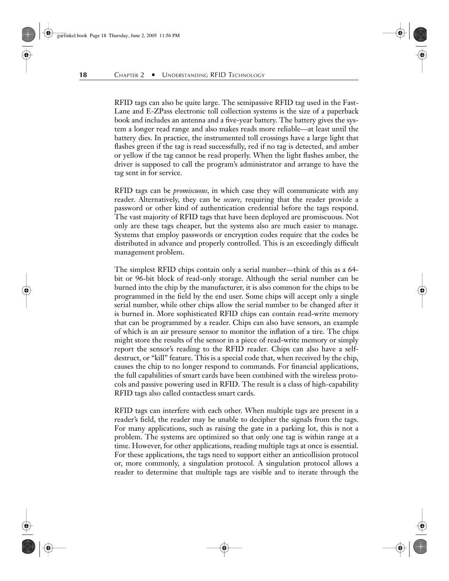RFID tags can also be quite large. The semipassive RFID tag used in the Fast-Lane and E-ZPass electronic toll collection systems is the size of a paperback book and includes an antenna and a five-year battery. The battery gives the system a longer read range and also makes reads more reliable—at least until the battery dies. In practice, the instrumented toll crossings have a large light that flashes green if the tag is read successfully, red if no tag is detected, and amber or yellow if the tag cannot be read properly. When the light flashes amber, the driver is supposed to call the program's administrator and arrange to have the tag sent in for service.

RFID tags can be *promiscuous*, in which case they will communicate with any reader. Alternatively, they can be *secure,* requiring that the reader provide a password or other kind of authentication credential before the tags respond. The vast majority of RFID tags that have been deployed are promiscuous. Not only are these tags cheaper, but the systems also are much easier to manage. Systems that employ passwords or encryption codes require that the codes be distributed in advance and properly controlled. This is an exceedingly difficult management problem.

The simplest RFID chips contain only a serial number—think of this as a 64 bit or 96-bit block of read-only storage. Although the serial number can be burned into the chip by the manufacturer, it is also common for the chips to be programmed in the field by the end user. Some chips will accept only a single serial number, while other chips allow the serial number to be changed after it is burned in. More sophisticated RFID chips can contain read-write memory that can be programmed by a reader. Chips can also have sensors, an example of which is an air pressure sensor to monitor the inflation of a tire. The chips might store the results of the sensor in a piece of read-write memory or simply report the sensor's reading to the RFID reader. Chips can also have a selfdestruct, or "kill" feature. This is a special code that, when received by the chip, causes the chip to no longer respond to commands. For financial applications, the full capabilities of smart cards have been combined with the wireless protocols and passive powering used in RFID. The result is a class of high-capability RFID tags also called contactless smart cards.

RFID tags can interfere with each other. When multiple tags are present in a reader's field, the reader may be unable to decipher the signals from the tags. For many applications, such as raising the gate in a parking lot, this is not a problem. The systems are optimized so that only one tag is within range at a time. However, for other applications, reading multiple tags at once is essential. For these applications, the tags need to support either an anticollision protocol or, more commonly, a singulation protocol. A singulation protocol allows a reader to determine that multiple tags are visible and to iterate through the

garfinkel.book Page 18 Thursday, June 2, 2005 11:56 PM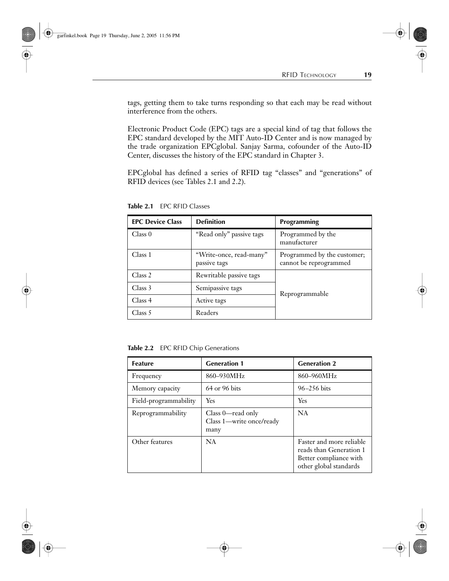tags, getting them to take turns responding so that each may be read without interference from the others.

Electronic Product Code (EPC) tags are a special kind of tag that follows the EPC standard developed by the MIT Auto-ID Center and is now managed by the trade organization EPCglobal. Sanjay Sarma, cofounder of the Auto-ID Center, discusses the history of the EPC standard in Chapter 3.

EPCglobal has defined a series of RFID tag "classes" and "generations" of RFID devices (see Tables 2.1 and 2.2).

| <b>EPC Device Class</b> | <b>Definition</b>                       | Programming                                           |  |
|-------------------------|-----------------------------------------|-------------------------------------------------------|--|
| Class 0                 | "Read only" passive tags                | Programmed by the<br>manufacturer                     |  |
| Class 1                 | "Write-once, read-many"<br>passive tags | Programmed by the customer;<br>cannot be reprogrammed |  |
| Class <sub>2</sub>      | Rewritable passive tags                 |                                                       |  |
| Class 3                 | Semipassive tags                        | Reprogrammable                                        |  |
| Class 4                 | Active tags                             |                                                       |  |
| Class 5                 | Readers                                 |                                                       |  |

**Table 2.1** EPC RFID Classes

**Table 2.2** EPC RFID Chip Generations

| <b>Feature</b>        | <b>Generation 1</b>                                   | <b>Generation 2</b>                                                                                     |
|-----------------------|-------------------------------------------------------|---------------------------------------------------------------------------------------------------------|
| Frequency             | 860-930MHz                                            | 860–960MHz                                                                                              |
| Memory capacity       | 64 or 96 bits                                         | $96 - 256$ bits                                                                                         |
| Field-programmability | Yes                                                   | <b>Yes</b>                                                                                              |
| Reprogrammability     | Class 0—read only<br>Class 1-write once/ready<br>many | <b>NA</b>                                                                                               |
| Other features        | NA.                                                   | Faster and more reliable<br>reads than Generation 1<br>Better compliance with<br>other global standards |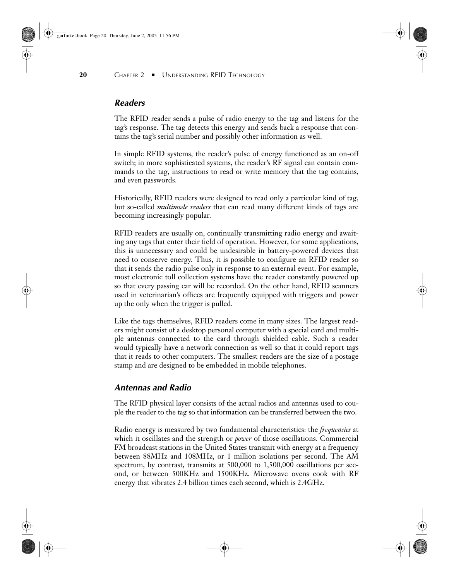### *Readers*

The RFID reader sends a pulse of radio energy to the tag and listens for the tag's response. The tag detects this energy and sends back a response that contains the tag's serial number and possibly other information as well.

In simple RFID systems, the reader's pulse of energy functioned as an on-off switch; in more sophisticated systems, the reader's RF signal can contain commands to the tag, instructions to read or write memory that the tag contains, and even passwords.

Historically, RFID readers were designed to read only a particular kind of tag, but so-called *multimode readers* that can read many different kinds of tags are becoming increasingly popular.

RFID readers are usually on, continually transmitting radio energy and awaiting any tags that enter their field of operation. However, for some applications, this is unnecessary and could be undesirable in battery-powered devices that need to conserve energy. Thus, it is possible to configure an RFID reader so that it sends the radio pulse only in response to an external event. For example, most electronic toll collection systems have the reader constantly powered up so that every passing car will be recorded. On the other hand, RFID scanners used in veterinarian's offices are frequently equipped with triggers and power up the only when the trigger is pulled.

Like the tags themselves, RFID readers come in many sizes. The largest readers might consist of a desktop personal computer with a special card and multiple antennas connected to the card through shielded cable. Such a reader would typically have a network connection as well so that it could report tags that it reads to other computers. The smallest readers are the size of a postage stamp and are designed to be embedded in mobile telephones.

### *Antennas and Radio*

The RFID physical layer consists of the actual radios and antennas used to couple the reader to the tag so that information can be transferred between the two.

Radio energy is measured by two fundamental characteristics: the *frequencies* at which it oscillates and the strength or *power* of those oscillations. Commercial FM broadcast stations in the United States transmit with energy at a frequency between 88MHz and 108MHz, or 1 million isolations per second. The AM spectrum, by contrast, transmits at 500,000 to 1,500,000 oscillations per second, or between 500KHz and 1500KHz. Microwave ovens cook with RF energy that vibrates 2.4 billion times each second, which is 2.4GHz.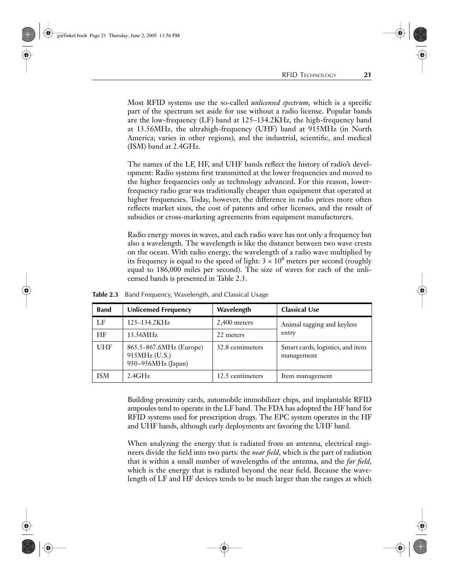Most RFID systems use the so-called *unlicensed spectrum,* which is a specific part of the spectrum set aside for use without a radio license. Popular bands are the low-frequency (LF) band at 125–134.2KHz, the high-frequency band at 13.56MHz, the ultrahigh-frequency (UHF) band at 915MHz (in North America; varies in other regions), and the industrial, scientific, and medical (ISM) band at 2.4GHz.

The names of the LF, HF, and UHF bands reflect the history of radio's development: Radio systems first transmitted at the lower frequencies and moved to the higher frequencies only as technology advanced. For this reason, lowerfrequency radio gear was traditionally cheaper than equipment that operated at higher frequencies. Today, however, the difference in radio prices more often reflects market sizes, the cost of patents and other licenses, and the result of subsidies or cross-marketing agreements from equipment manufacturers.

Radio energy moves in waves, and each radio wave has not only a frequency but also a wavelength. The wavelength is like the distance between two wave crests on the ocean. With radio energy, the wavelength of a radio wave multiplied by its frequency is equal to the speed of light:  $3 \times 10^8$  meters per second (roughly equal to 186,000 miles per second). The size of waves for each of the unlicensed bands is presented in Table 2.3.

| <b>Band</b> | <b>Unlicensed Frequency</b>                                    | Wavelength       | <b>Classical Use</b>                           |
|-------------|----------------------------------------------------------------|------------------|------------------------------------------------|
| LF          | 125-134.2KHz                                                   | $2,400$ meters   | Animal tagging and keyless                     |
| HF          | 13.56MHz                                                       | 22 meters        | entry                                          |
| <b>UHF</b>  | 865.5–867.6MHz (Europe)<br>915MHz (U.S.)<br>950-956MHz (Japan) | 32.8 centimeters | Smart cards, logistics, and item<br>management |
| <b>ISM</b>  | $2.4 \text{GHz}$                                               | 12.5 centimeters | Item management                                |

Table 2.3 Band Frequency, Wavelength, and Classical Usage

Building proximity cards, automobile immobilizer chips, and implantable RFID ampoules tend to operate in the LF band. The FDA has adopted the HF band for RFID systems used for prescription drugs. The EPC system operates in the HF and UHF bands, although early deployments are favoring the UHF band.

When analyzing the energy that is radiated from an antenna, electrical engineers divide the field into two parts: the *near field*, which is the part of radiation that is within a small number of wavelengths of the antenna*,* and the *far field*, which is the energy that is radiated beyond the near field. Because the wavelength of LF and HF devices tends to be much larger than the ranges at which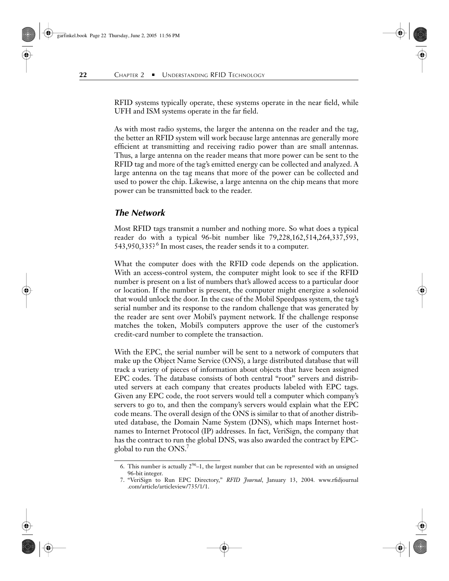RFID systems typically operate, these systems operate in the near field, while UFH and ISM systems operate in the far field.

As with most radio systems, the larger the antenna on the reader and the tag, the better an RFID system will work because large antennas are generally more efficient at transmitting and receiving radio power than are small antennas. Thus, a large antenna on the reader means that more power can be sent to the RFID tag and more of the tag's emitted energy can be collected and analyzed. A large antenna on the tag means that more of the power can be collected and used to power the chip. Likewise, a large antenna on the chip means that more power can be transmitted back to the reader.

## *The Network*

Most RFID tags transmit a number and nothing more. So what does a typical reader do with a typical 96-bit number like 79,228,162,514,264,337,593, 543,950,335?<sup>6</sup> In most cases, the reader sends it to a computer.

What the computer does with the RFID code depends on the application. With an access-control system, the computer might look to see if the RFID number is present on a list of numbers that's allowed access to a particular door or location. If the number is present, the computer might energize a solenoid that would unlock the door. In the case of the Mobil Speedpass system, the tag's serial number and its response to the random challenge that was generated by the reader are sent over Mobil's payment network. If the challenge response matches the token, Mobil's computers approve the user of the customer's credit-card number to complete the transaction.

With the EPC, the serial number will be sent to a network of computers that make up the Object Name Service (ONS), a large distributed database that will track a variety of pieces of information about objects that have been assigned EPC codes. The database consists of both central "root" servers and distributed servers at each company that creates products labeled with EPC tags. Given any EPC code, the root servers would tell a computer which company's servers to go to, and then the company's servers would explain what the EPC code means. The overall design of the ONS is similar to that of another distributed database, the Domain Name System (DNS), which maps Internet hostnames to Internet Protocol (IP) addresses. In fact, VeriSign, the company that has the contract to run the global DNS, was also awarded the contract by EPCglobal to run the ONS.<sup>7</sup>

<sup>6.</sup> This number is actually  $2^{96}$ –1, the largest number that can be represented with an unsigned 96-bit integer.

<sup>7. &</sup>quot;VeriSign to Run EPC Directory," *RFID Journal*, January 13, 2004. www.rfidjournal .com/article/articleview/735/1/1.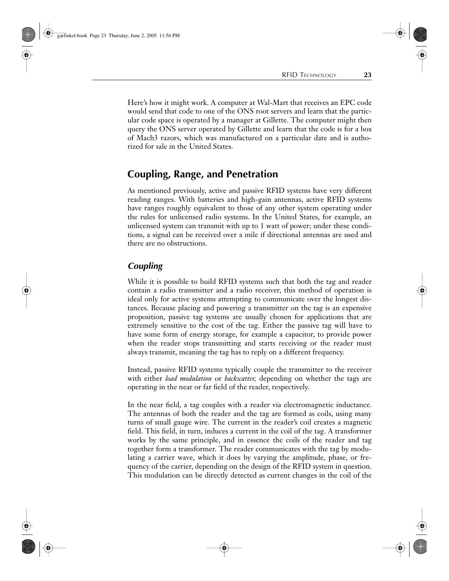Here's how it might work. A computer at Wal-Mart that receives an EPC code would send that code to one of the ONS root servers and learn that the particular code space is operated by a manager at Gillette. The computer might then query the ONS server operated by Gillette and learn that the code is for a box of Mach3 razors, which was manufactured on a particular date and is authorized for sale in the United States.

# **Coupling, Range, and Penetration**

As mentioned previously, active and passive RFID systems have very different reading ranges. With batteries and high-gain antennas, active RFID systems have ranges roughly equivalent to those of any other system operating under the rules for unlicensed radio systems. In the United States, for example, an unlicensed system can transmit with up to 1 watt of power; under these conditions, a signal can be received over a mile if directional antennas are used and there are no obstructions.

## *Coupling*

While it is possible to build RFID systems such that both the tag and reader contain a radio transmitter and a radio receiver, this method of operation is ideal only for active systems attempting to communicate over the longest distances. Because placing and powering a transmitter on the tag is an expensive proposition, passive tag systems are usually chosen for applications that are extremely sensitive to the cost of the tag. Either the passive tag will have to have some form of energy storage, for example a capacitor, to provide power when the reader stops transmitting and starts receiving or the reader must always transmit, meaning the tag has to reply on a different frequency.

Instead, passive RFID systems typically couple the transmitter to the receiver with either *load modulation* or *backscatter,* depending on whether the tags are operating in the near or far field of the reader, respectively.

In the near field, a tag couples with a reader via electromagnetic inductance. The antennas of both the reader and the tag are formed as coils, using many turns of small gauge wire. The current in the reader's coil creates a magnetic field. This field, in turn, induces a current in the coil of the tag. A transformer works by the same principle, and in essence the coils of the reader and tag together form a transformer. The reader communicates with the tag by modulating a carrier wave, which it does by varying the amplitude, phase, or frequency of the carrier, depending on the design of the RFID system in question. This modulation can be directly detected as current changes in the coil of the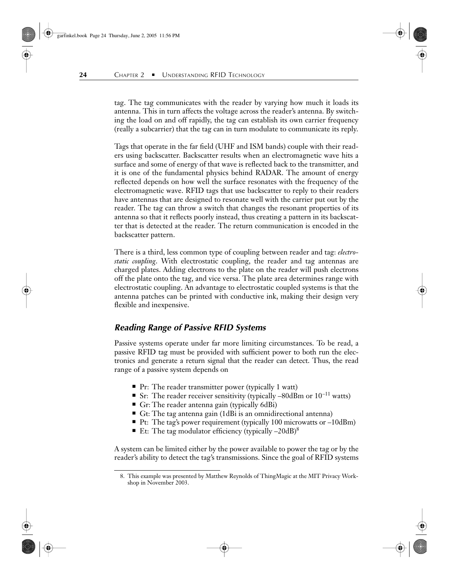tag. The tag communicates with the reader by varying how much it loads its antenna. This in turn affects the voltage across the reader's antenna. By switching the load on and off rapidly, the tag can establish its own carrier frequency (really a subcarrier) that the tag can in turn modulate to communicate its reply.

Tags that operate in the far field (UHF and ISM bands) couple with their readers using backscatter. Backscatter results when an electromagnetic wave hits a surface and some of energy of that wave is reflected back to the transmitter, and it is one of the fundamental physics behind RADAR. The amount of energy reflected depends on how well the surface resonates with the frequency of the electromagnetic wave. RFID tags that use backscatter to reply to their readers have antennas that are designed to resonate well with the carrier put out by the reader. The tag can throw a switch that changes the resonant properties of its antenna so that it reflects poorly instead, thus creating a pattern in its backscatter that is detected at the reader. The return communication is encoded in the backscatter pattern.

There is a third, less common type of coupling between reader and tag: *electrostatic coupling*. With electrostatic coupling, the reader and tag antennas are charged plates. Adding electrons to the plate on the reader will push electrons off the plate onto the tag, and vice versa. The plate area determines range with electrostatic coupling. An advantage to electrostatic coupled systems is that the antenna patches can be printed with conductive ink, making their design very flexible and inexpensive.

### *Reading Range of Passive RFID Systems*

Passive systems operate under far more limiting circumstances. To be read, a passive RFID tag must be provided with sufficient power to both run the electronics and generate a return signal that the reader can detect. Thus, the read range of a passive system depends on

- Pr: The reader transmitter power (typically 1 watt)
- Sr: The reader receiver sensitivity (typically  $-80$ dBm or  $10^{-11}$  watts)
- Gr: The reader antenna gain (typically 6dBi)
- Gt: The tag antenna gain (1dBi is an omnidirectional antenna)
- Pt: The tag's power requirement (typically 100 microwatts or –10dBm)
- Et: The tag modulator efficiency (typically  $-20dB$ <sup>8</sup>

A system can be limited either by the power available to power the tag or by the reader's ability to detect the tag's transmissions. Since the goal of RFID systems

<sup>8.</sup> This example was presented by Matthew Reynolds of ThingMagic at the MIT Privacy Workshop in November 2003.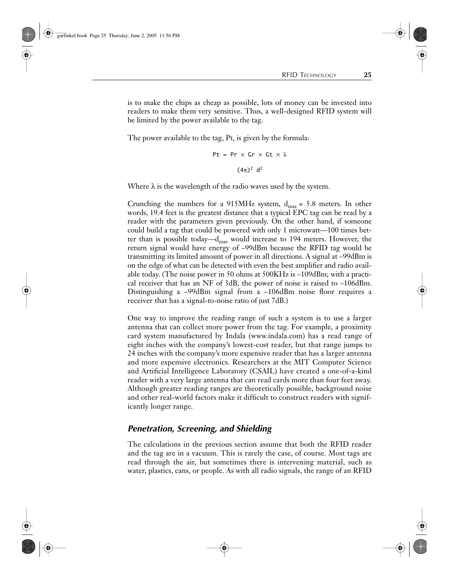is to make the chips as cheap as possible, lots of money can be invested into readers to make them very sensitive. Thus, a well-designed RFID system will be limited by the power available to the tag.

The power available to the tag, Pt, is given by the formula:

Pt = Pr  $\times$  Gr  $\times$  Gt  $\times$   $\lambda$  $(4\pi)^2$  d<sup>2</sup>

Where  $\lambda$  is the wavelength of the radio waves used by the system.

Crunching the numbers for a 915MHz system,  $d_{max} = 5.8$  meters. In other words, 19.4 feet is the greatest distance that a typical EPC tag can be read by a reader with the parameters given previously. On the other hand, if someone could build a tag that could be powered with only 1 microwatt—100 times better than is possible today— $d_{max}$  would increase to 194 meters. However, the return signal would have energy of –99dBm because the RFID tag would be transmitting its limited amount of power in all directions. A signal at –99dBm is on the edge of what can be detected with even the best amplifier and radio available today. (The noise power in 50 ohms at 500KHz is –109dBm; with a practical receiver that has an NF of 3dB, the power of noise is raised to –106dBm. Distinguishing a –99dBm signal from a –106dBm noise floor requires a receiver that has a signal-to-noise ratio of just 7dB.)

One way to improve the reading range of such a system is to use a larger antenna that can collect more power from the tag. For example, a proximity card system manufactured by Indala (www.indala.com) has a read range of eight inches with the company's lowest-cost reader, but that range jumps to 24 inches with the company's more expensive reader that has a larger antenna and more expensive electronics. Researchers at the MIT Computer Science and Artificial Intelligence Laboratory (CSAIL) have created a one-of-a-kind reader with a very large antenna that can read cards more than four feet away. Although greater reading ranges are theoretically possible, background noise and other real-world factors make it difficult to construct readers with significantly longer range.

### *Penetration, Screening, and Shielding*

The calculations in the previous section assume that both the RFID reader and the tag are in a vacuum. This is rarely the case, of course. Most tags are read through the air, but sometimes there is intervening material, such as water, plastics, cans, or people. As with all radio signals, the range of an RFID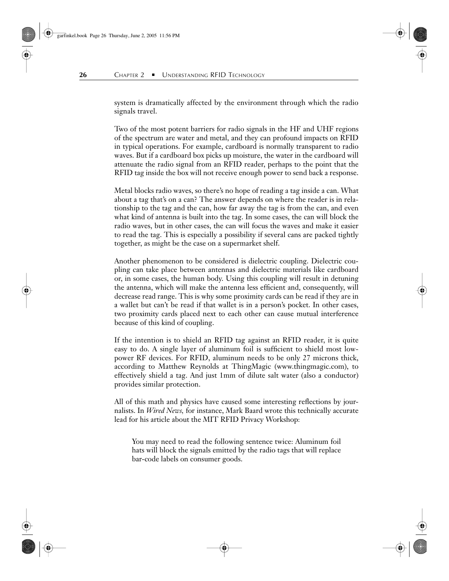system is dramatically affected by the environment through which the radio signals travel.

Two of the most potent barriers for radio signals in the HF and UHF regions of the spectrum are water and metal, and they can profound impacts on RFID in typical operations. For example, cardboard is normally transparent to radio waves. But if a cardboard box picks up moisture, the water in the cardboard will attenuate the radio signal from an RFID reader, perhaps to the point that the RFID tag inside the box will not receive enough power to send back a response.

Metal blocks radio waves, so there's no hope of reading a tag inside a can. What about a tag that's on a can? The answer depends on where the reader is in relationship to the tag and the can, how far away the tag is from the can, and even what kind of antenna is built into the tag. In some cases, the can will block the radio waves, but in other cases, the can will focus the waves and make it easier to read the tag. This is especially a possibility if several cans are packed tightly together, as might be the case on a supermarket shelf.

Another phenomenon to be considered is dielectric coupling. Dielectric coupling can take place between antennas and dielectric materials like cardboard or, in some cases, the human body. Using this coupling will result in detuning the antenna, which will make the antenna less efficient and, consequently, will decrease read range. This is why some proximity cards can be read if they are in a wallet but can't be read if that wallet is in a person's pocket. In other cases, two proximity cards placed next to each other can cause mutual interference because of this kind of coupling.

If the intention is to shield an RFID tag against an RFID reader, it is quite easy to do. A single layer of aluminum foil is sufficient to shield most lowpower RF devices. For RFID, aluminum needs to be only 27 microns thick, according to Matthew Reynolds at ThingMagic (www.thingmagic.com), to effectively shield a tag. And just 1mm of dilute salt water (also a conductor) provides similar protection.

All of this math and physics have caused some interesting reflections by journalists. In *Wired News,* for instance, Mark Baard wrote this technically accurate lead for his article about the MIT RFID Privacy Workshop:

You may need to read the following sentence twice: Aluminum foil hats will block the signals emitted by the radio tags that will replace bar-code labels on consumer goods.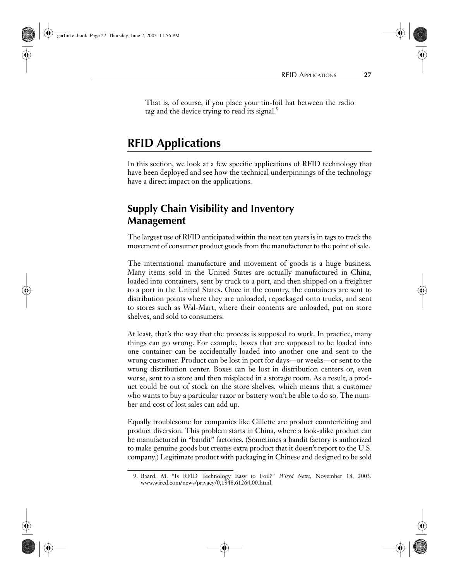That is, of course, if you place your tin-foil hat between the radio tag and the device trying to read its signal.<sup>9</sup>

# **RFID Applications**

In this section, we look at a few specific applications of RFID technology that have been deployed and see how the technical underpinnings of the technology have a direct impact on the applications.

# **Supply Chain Visibility and Inventory Management**

The largest use of RFID anticipated within the next ten years is in tags to track the movement of consumer product goods from the manufacturer to the point of sale.

The international manufacture and movement of goods is a huge business. Many items sold in the United States are actually manufactured in China, loaded into containers, sent by truck to a port, and then shipped on a freighter to a port in the United States. Once in the country, the containers are sent to distribution points where they are unloaded, repackaged onto trucks, and sent to stores such as Wal-Mart, where their contents are unloaded, put on store shelves, and sold to consumers.

At least, that's the way that the process is supposed to work. In practice, many things can go wrong. For example, boxes that are supposed to be loaded into one container can be accidentally loaded into another one and sent to the wrong customer. Product can be lost in port for days—or weeks—or sent to the wrong distribution center. Boxes can be lost in distribution centers or, even worse, sent to a store and then misplaced in a storage room. As a result, a product could be out of stock on the store shelves, which means that a customer who wants to buy a particular razor or battery won't be able to do so. The number and cost of lost sales can add up.

Equally troublesome for companies like Gillette are product counterfeiting and product diversion. This problem starts in China, where a look-alike product can be manufactured in "bandit" factories. (Sometimes a bandit factory is authorized to make genuine goods but creates extra product that it doesn't report to the U.S. company.) Legitimate product with packaging in Chinese and designed to be sold

<sup>9.</sup> Baard, M. "Is RFID Technology Easy to Foil?" *Wired News*, November 18, 2003. www.wired.com/news/privacy/0,1848,61264,00.html.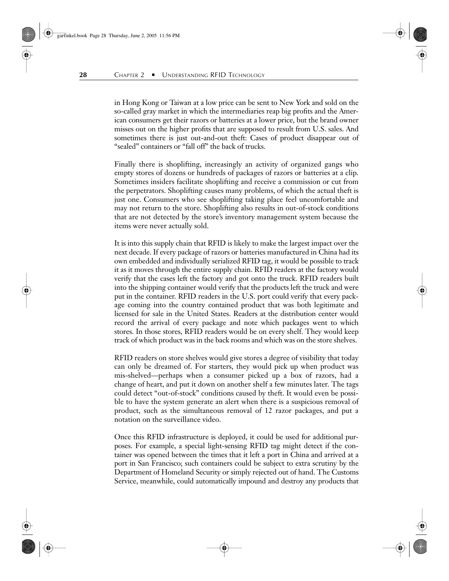garfinkel.book Page 28 Thursday, June 2, 2005 11:56 PM

#### **28** CHAPTER 2 | UNDERSTANDING RFID TECHNOLOGY

in Hong Kong or Taiwan at a low price can be sent to New York and sold on the so-called gray market in which the intermediaries reap big profits and the American consumers get their razors or batteries at a lower price, but the brand owner misses out on the higher profits that are supposed to result from U.S. sales. And sometimes there is just out-and-out theft: Cases of product disappear out of "sealed" containers or "fall off" the back of trucks.

Finally there is shoplifting, increasingly an activity of organized gangs who empty stores of dozens or hundreds of packages of razors or batteries at a clip. Sometimes insiders facilitate shoplifting and receive a commission or cut from the perpetrators. Shoplifting causes many problems, of which the actual theft is just one. Consumers who see shoplifting taking place feel uncomfortable and may not return to the store. Shoplifting also results in out-of-stock conditions that are not detected by the store's inventory management system because the items were never actually sold.

It is into this supply chain that RFID is likely to make the largest impact over the next decade. If every package of razors or batteries manufactured in China had its own embedded and individually serialized RFID tag, it would be possible to track it as it moves through the entire supply chain. RFID readers at the factory would verify that the cases left the factory and got onto the truck. RFID readers built into the shipping container would verify that the products left the truck and were put in the container. RFID readers in the U.S. port could verify that every package coming into the country contained product that was both legitimate and licensed for sale in the United States. Readers at the distribution center would record the arrival of every package and note which packages went to which stores. In those stores, RFID readers would be on every shelf. They would keep track of which product was in the back rooms and which was on the store shelves.

RFID readers on store shelves would give stores a degree of visibility that today can only be dreamed of. For starters, they would pick up when product was mis-shelved—perhaps when a consumer picked up a box of razors, had a change of heart, and put it down on another shelf a few minutes later. The tags could detect "out-of-stock" conditions caused by theft. It would even be possible to have the system generate an alert when there is a suspicious removal of product, such as the simultaneous removal of 12 razor packages, and put a notation on the surveillance video.

Once this RFID infrastructure is deployed, it could be used for additional purposes. For example, a special light-sensing RFID tag might detect if the container was opened between the times that it left a port in China and arrived at a port in San Francisco; such containers could be subject to extra scrutiny by the Department of Homeland Security or simply rejected out of hand. The Customs Service, meanwhile, could automatically impound and destroy any products that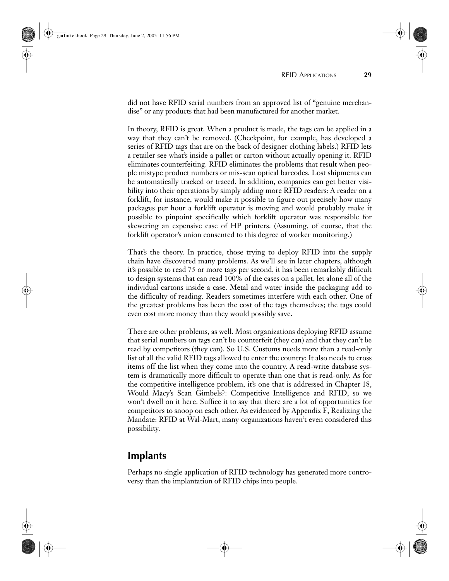did not have RFID serial numbers from an approved list of "genuine merchandise" or any products that had been manufactured for another market.

In theory, RFID is great. When a product is made, the tags can be applied in a way that they can't be removed. (Checkpoint, for example, has developed a series of RFID tags that are on the back of designer clothing labels.) RFID lets a retailer see what's inside a pallet or carton without actually opening it. RFID eliminates counterfeiting. RFID eliminates the problems that result when people mistype product numbers or mis-scan optical barcodes. Lost shipments can be automatically tracked or traced. In addition, companies can get better visibility into their operations by simply adding more RFID readers: A reader on a forklift, for instance, would make it possible to figure out precisely how many packages per hour a forklift operator is moving and would probably make it possible to pinpoint specifically which forklift operator was responsible for skewering an expensive case of HP printers. (Assuming, of course, that the forklift operator's union consented to this degree of worker monitoring.)

That's the theory. In practice, those trying to deploy RFID into the supply chain have discovered many problems. As we'll see in later chapters, although it's possible to read 75 or more tags per second, it has been remarkably difficult to design systems that can read 100% of the cases on a pallet, let alone all of the individual cartons inside a case. Metal and water inside the packaging add to the difficulty of reading. Readers sometimes interfere with each other. One of the greatest problems has been the cost of the tags themselves; the tags could even cost more money than they would possibly save.

There are other problems, as well. Most organizations deploying RFID assume that serial numbers on tags can't be counterfeit (they can) and that they can't be read by competitors (they can). So U.S. Customs needs more than a read-only list of all the valid RFID tags allowed to enter the country: It also needs to cross items off the list when they come into the country. A read-write database system is dramatically more difficult to operate than one that is read-only. As for the competitive intelligence problem, it's one that is addressed in Chapter 18, Would Macy's Scan Gimbels?: Competitive Intelligence and RFID, so we won't dwell on it here. Suffice it to say that there are a lot of opportunities for competitors to snoop on each other. As evidenced by Appendix F, Realizing the Mandate: RFID at Wal-Mart, many organizations haven't even considered this possibility.

# **Implants**

Perhaps no single application of RFID technology has generated more controversy than the implantation of RFID chips into people.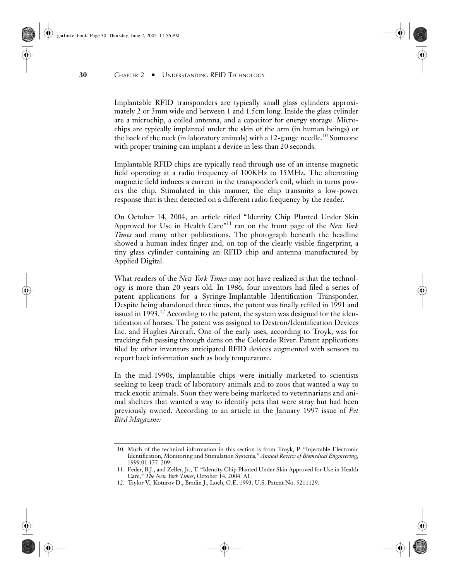Implantable RFID transponders are typically small glass cylinders approximately 2 or 3mm wide and between 1 and 1.5cm long. Inside the glass cylinder are a microchip, a coiled antenna, and a capacitor for energy storage. Microchips are typically implanted under the skin of the arm (in human beings) or the back of the neck (in laboratory animals) with a 12-gauge needle.<sup>10</sup> Someone with proper training can implant a device in less than 20 seconds.

Implantable RFID chips are typically read through use of an intense magnetic field operating at a radio frequency of 100KHz to 15MHz. The alternating magnetic field induces a current in the transponder's coil, which in turns powers the chip. Stimulated in this manner, the chip transmits a low-power response that is then detected on a different radio frequency by the reader.

On October 14, 2004, an article titled "Identity Chip Planted Under Skin Approved for Use in Health Care"11 ran on the front page of the *New York Times* and many other publications. The photograph beneath the headline showed a human index finger and, on top of the clearly visible fingerprint, a tiny glass cylinder containing an RFID chip and antenna manufactured by Applied Digital.

What readers of the *New York Times* may not have realized is that the technology is more than 20 years old. In 1986, four inventors had filed a series of patent applications for a Syringe-Implantable Identification Transponder. Despite being abandoned three times, the patent was finally refiled in 1991 and issued in 1993.<sup>12</sup> According to the patent, the system was designed for the identification of horses. The patent was assigned to Destron/Identification Devices Inc. and Hughes Aircraft. One of the early uses, according to Troyk, was for tracking fish passing through dams on the Colorado River. Patent applications filed by other inventors anticipated RFID devices augmented with sensors to report back information such as body temperature.

In the mid-1990s, implantable chips were initially marketed to scientists seeking to keep track of laboratory animals and to zoos that wanted a way to track exotic animals. Soon they were being marketed to veterinarians and animal shelters that wanted a way to identify pets that were stray but had been previously owned. According to an article in the January 1997 issue of *Pet Bird Magazine:*

<sup>10.</sup> Much of the technical information in this section is from Troyk, P. "Injectable Electronic Identification, Monitoring and Stimulation Systems," *Annual Review of Biomedical Engineering,* 1999.01:177–209.

<sup>11.</sup> Feder, B.J., and Zeller, Jr., T. "Identity Chip Planted Under Skin Approved for Use in Health Care," *The New York Times*, October 14, 2004. A1.

<sup>12.</sup> Taylor V., Koturov D., Bradin J., Loeb, G.E. 1993. U.S. Patent No. 5211129.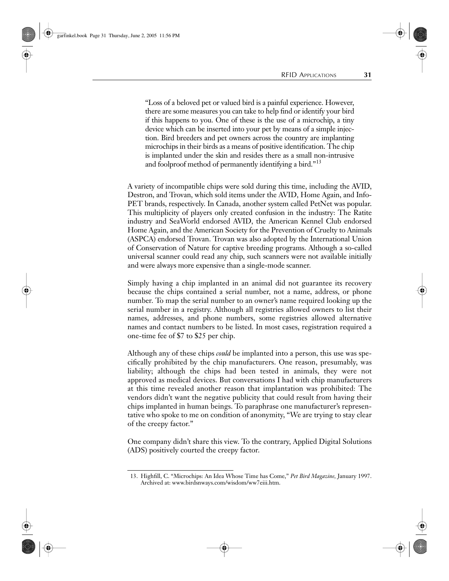### RFID APPLICATIONS **31**

"Loss of a beloved pet or valued bird is a painful experience. However, there are some measures you can take to help find or identify your bird if this happens to you. One of these is the use of a microchip, a tiny device which can be inserted into your pet by means of a simple injection. Bird breeders and pet owners across the country are implanting microchips in their birds as a means of positive identification. The chip is implanted under the skin and resides there as a small non-intrusive and foolproof method of permanently identifying a bird."<sup>13</sup>

A variety of incompatible chips were sold during this time, including the AVID, Destron, and Trovan, which sold items under the AVID, Home Again, and Info-PET brands, respectively. In Canada, another system called PetNet was popular. This multiplicity of players only created confusion in the industry: The Ratite industry and SeaWorld endorsed AVID, the American Kennel Club endorsed Home Again, and the American Society for the Prevention of Cruelty to Animals (ASPCA) endorsed Trovan. Trovan was also adopted by the International Union of Conservation of Nature for captive breeding programs. Although a so-called universal scanner could read any chip, such scanners were not available initially and were always more expensive than a single-mode scanner.

Simply having a chip implanted in an animal did not guarantee its recovery because the chips contained a serial number, not a name, address, or phone number. To map the serial number to an owner's name required looking up the serial number in a registry. Although all registries allowed owners to list their names, addresses, and phone numbers, some registries allowed alternative names and contact numbers to be listed. In most cases, registration required a one-time fee of \$7 to \$25 per chip.

Although any of these chips *could* be implanted into a person, this use was specifically prohibited by the chip manufacturers. One reason, presumably, was liability; although the chips had been tested in animals, they were not approved as medical devices. But conversations I had with chip manufacturers at this time revealed another reason that implantation was prohibited: The vendors didn't want the negative publicity that could result from having their chips implanted in human beings. To paraphrase one manufacturer's representative who spoke to me on condition of anonymity, "We are trying to stay clear of the creepy factor."

One company didn't share this view. To the contrary, Applied Digital Solutions (ADS) positively courted the creepy factor.

<sup>13.</sup> Highfill, C. "Microchips: An Idea Whose Time has Come," *Pet Bird Magazine,* January 1997. Archived at: www.birdsnways.com/wisdom/ww7eiii.htm.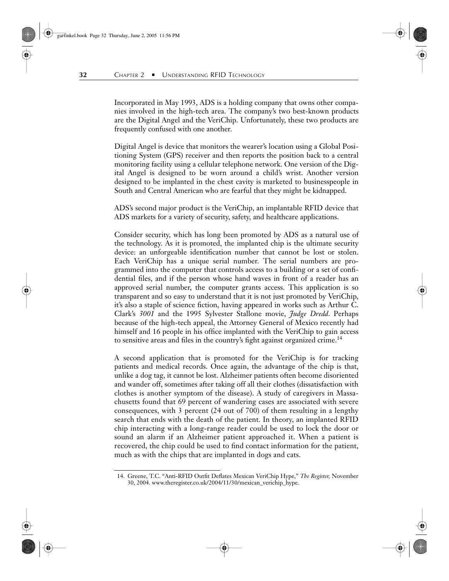Incorporated in May 1993, ADS is a holding company that owns other companies involved in the high-tech area. The company's two best-known products are the Digital Angel and the VeriChip. Unfortunately, these two products are frequently confused with one another.

Digital Angel is device that monitors the wearer's location using a Global Positioning System (GPS) receiver and then reports the position back to a central monitoring facility using a cellular telephone network. One version of the Digital Angel is designed to be worn around a child's wrist. Another version designed to be implanted in the chest cavity is marketed to businesspeople in South and Central American who are fearful that they might be kidnapped.

ADS's second major product is the VeriChip, an implantable RFID device that ADS markets for a variety of security, safety, and healthcare applications.

Consider security, which has long been promoted by ADS as a natural use of the technology. As it is promoted, the implanted chip is the ultimate security device: an unforgeable identification number that cannot be lost or stolen. Each VeriChip has a unique serial number. The serial numbers are programmed into the computer that controls access to a building or a set of confidential files, and if the person whose hand waves in front of a reader has an approved serial number, the computer grants access. This application is so transparent and so easy to understand that it is not just promoted by VeriChip, it's also a staple of science fiction, having appeared in works such as Arthur C. Clark's *3001* and the 1995 Sylvester Stallone movie, *Judge Dredd*. Perhaps because of the high-tech appeal, the Attorney General of Mexico recently had himself and 16 people in his office implanted with the VeriChip to gain access to sensitive areas and files in the country's fight against organized crime.<sup>14</sup>

A second application that is promoted for the VeriChip is for tracking patients and medical records. Once again, the advantage of the chip is that, unlike a dog tag, it cannot be lost. Alzheimer patients often become disoriented and wander off, sometimes after taking off all their clothes (dissatisfaction with clothes is another symptom of the disease). A study of caregivers in Massachusetts found that 69 percent of wandering cases are associated with severe consequences, with 3 percent (24 out of 700) of them resulting in a lengthy search that ends with the death of the patient. In theory, an implanted RFID chip interacting with a long-range reader could be used to lock the door or sound an alarm if an Alzheimer patient approached it. When a patient is recovered, the chip could be used to find contact information for the patient, much as with the chips that are implanted in dogs and cats.

<sup>14.</sup> Greene, T.C. "Anti-RFID Outfit Deflates Mexican VeriChip Hype," *The Register,* November 30, 2004. www.theregister.co.uk/2004/11/30/mexican\_verichip\_hype.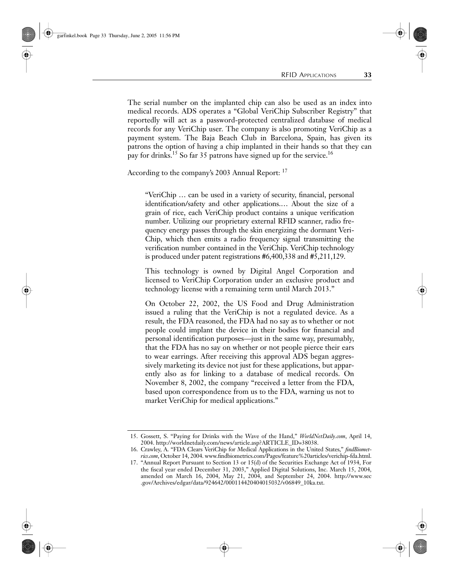The serial number on the implanted chip can also be used as an index into medical records. ADS operates a "Global VeriChip Subscriber Registry" that reportedly will act as a password-protected centralized database of medical records for any VeriChip user. The company is also promoting VeriChip as a payment system. The Baja Beach Club in Barcelona, Spain, has given its patrons the option of having a chip implanted in their hands so that they can pay for drinks.<sup>15</sup> So far 35 patrons have signed up for the service.<sup>16</sup>

According to the company's 2003 Annual Report: <sup>17</sup>

"VeriChip … can be used in a variety of security, financial, personal identification/safety and other applications.… About the size of a grain of rice, each VeriChip product contains a unique verification number. Utilizing our proprietary external RFID scanner, radio frequency energy passes through the skin energizing the dormant Veri-Chip, which then emits a radio frequency signal transmitting the verification number contained in the VeriChip. VeriChip technology is produced under patent registrations #6,400,338 and #5,211,129.

This technology is owned by Digital Angel Corporation and licensed to VeriChip Corporation under an exclusive product and technology license with a remaining term until March 2013."

On October 22, 2002, the US Food and Drug Administration issued a ruling that the VeriChip is not a regulated device. As a result, the FDA reasoned, the FDA had no say as to whether or not people could implant the device in their bodies for financial and personal identification purposes—just in the same way, presumably, that the FDA has no say on whether or not people pierce their ears to wear earrings. After receiving this approval ADS began aggressively marketing its device not just for these applications, but apparently also as for linking to a database of medical records. On November 8, 2002, the company "received a letter from the FDA, based upon correspondence from us to the FDA, warning us not to market VeriChip for medical applications."

<sup>15.</sup> Gossett, S. "Paying for Drinks with the Wave of the Hand," *WorldNetDaily.com*, April 14, 2004. http://worldnetdaily.com/news/article.asp?ARTICLE\_ID=38038.

<sup>16.</sup> Crawley, A. "FDA Clears VeriChip for Medical Applications in the United States," *findBiometrics.com*, October 14, 2004. www.findbiometrics.com/Pages/feature%20articles/verichip-fda.html.

<sup>17. &</sup>quot;Annual Report Pursuant to Section 13 or 15(d) of the Securities Exchange Act of 1934, For the fiscal year ended December 31, 2003," Applied Digital Solutions, Inc. March 15, 2004, amended on March 16, 2004, May 21, 2004, and September 24, 2004. http://www.sec .gov/Archives/edgar/data/924642/000114420404015032/v06849\_10ka.txt.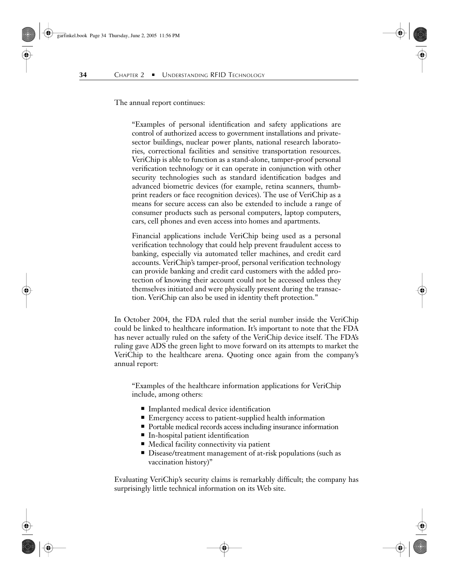The annual report continues:

"Examples of personal identification and safety applications are control of authorized access to government installations and privatesector buildings, nuclear power plants, national research laboratories, correctional facilities and sensitive transportation resources. VeriChip is able to function as a stand-alone, tamper-proof personal verification technology or it can operate in conjunction with other security technologies such as standard identification badges and advanced biometric devices (for example, retina scanners, thumbprint readers or face recognition devices). The use of VeriChip as a means for secure access can also be extended to include a range of consumer products such as personal computers, laptop computers, cars, cell phones and even access into homes and apartments.

Financial applications include VeriChip being used as a personal verification technology that could help prevent fraudulent access to banking, especially via automated teller machines, and credit card accounts. VeriChip's tamper-proof, personal verification technology can provide banking and credit card customers with the added protection of knowing their account could not be accessed unless they themselves initiated and were physically present during the transaction. VeriChip can also be used in identity theft protection."

In October 2004, the FDA ruled that the serial number inside the VeriChip could be linked to healthcare information. It's important to note that the FDA has never actually ruled on the safety of the VeriChip device itself. The FDA's ruling gave ADS the green light to move forward on its attempts to market the VeriChip to the healthcare arena. Quoting once again from the company's annual report:

"Examples of the healthcare information applications for VeriChip include, among others:

- Implanted medical device identification
- Emergency access to patient-supplied health information
- Portable medical records access including insurance information
- In-hospital patient identification
- Medical facility connectivity via patient
- Disease/treatment management of at-risk populations (such as vaccination history)"

Evaluating VeriChip's security claims is remarkably difficult; the company has surprisingly little technical information on its Web site.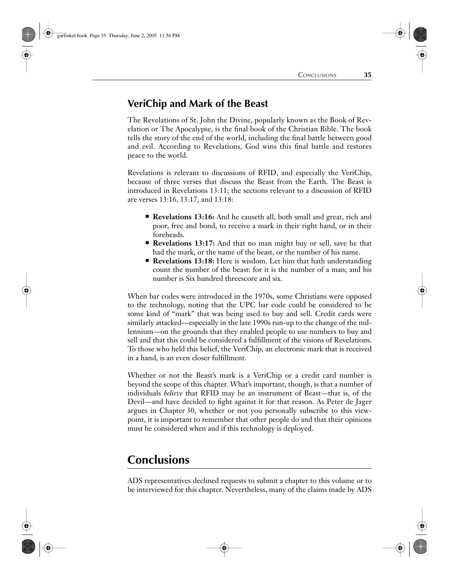# **VeriChip and Mark of the Beast**

The Revelations of St. John the Divine, popularly known as the Book of Revelation or The Apocalypse, is the final book of the Christian Bible. The book tells the story of the end of the world, including the final battle between good and evil. According to Revelations, God wins this final battle and restores peace to the world.

Revelations is relevant to discussions of RFID, and especially the VeriChip, because of three verses that discuss the Beast from the Earth. The Beast is introduced in Revelations 13:11; the sections relevant to a discussion of RFID are verses 13:16, 13:17, and 13:18:

- **Revelations 13:16:** And he causeth all, both small and great, rich and poor, free and bond, to receive a mark in their right hand, or in their foreheads.
- **Revelations 13:17:** And that no man might buy or sell, save he that had the mark, or the name of the beast, or the number of his name.
- **Revelations 13:18:** Here is wisdom. Let him that hath understanding count the number of the beast: for it is the number of a man; and his number is Six hundred threescore and six.

When bar codes were introduced in the 1970s, some Christians were opposed to the technology, noting that the UPC bar code could be considered to be some kind of "mark" that was being used to buy and sell. Credit cards were similarly attacked—especially in the late 1990s run-up to the change of the millennium—on the grounds that they enabled people to use numbers to buy and sell and that this could be considered a fulfillment of the visions of Revelations. To those who held this belief, the VeriChip, an electronic mark that is received in a hand, is an even closer fulfillment.

Whether or not the Beast's mark is a VeriChip or a credit card number is beyond the scope of this chapter. What's important, though, is that a number of individuals *believe* that RFID may be an instrument of Beast—that is, of the Devil—and have decided to fight against it for that reason. As Peter de Jager argues in Chapter 30, whether or not you personally subscribe to this viewpoint, it is important to remember that other people do and that their opinions must be considered when and if this technology is deployed.

# **Conclusions**

ADS representatives declined requests to submit a chapter to this volume or to be interviewed for this chapter. Nevertheless, many of the claims made by ADS